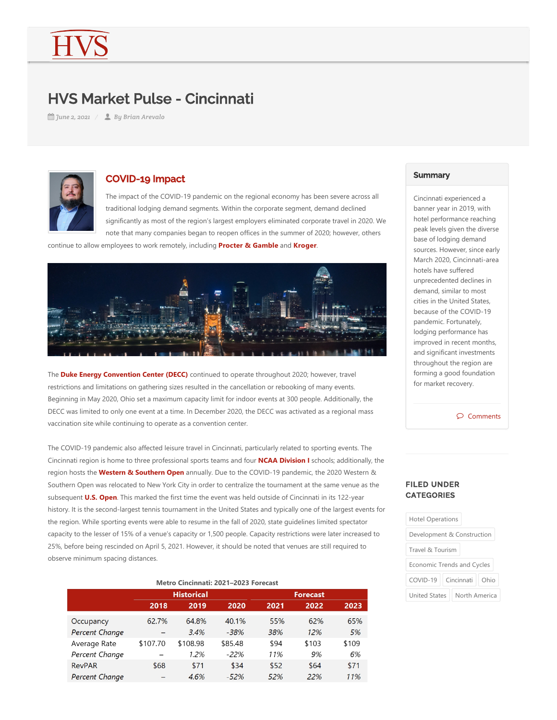# HVS Market Pulse - Cincinnati

*June 2, 2021 By Brian Arevalo*



### COVID-19 Impact

The impact of the COVID‐19 pandemic on the regional economy has been severe across all traditional lodging demand segments. Within the corporate segment, demand declined significantly as most of the region's largest employers eliminated corporate travel in 2020. We note that many companies began to reopen offices in the summer of 2020; however, others

continue to allow employees to work remotely, including **Procter & Gamble** and **Kroger**.



The **Duke Energy Convention Center (DECC)** continued to operate throughout 2020; however, travel restrictions and limitations on gathering sizes resulted in the cancellation or rebooking of many events. Beginning in May 2020, Ohio set a maximum capacity limit for indoor events at 300 people. Additionally, the DECC was limited to only one event at a time. In December 2020, the DECC was activated as a regional mass vaccination site while continuing to operate as a convention center.

The COVID‐19 pandemic also affected leisure travel in Cincinnati, particularly related to sporting events. The Cincinnati region is home to three professional sports teams and four **NCAA Division I** schools; additionally, the region hosts the **Western & Southern Open** annually. Due to the COVID‐19 pandemic, the 2020 Western & Southern Open was relocated to New York City in order to centralize the tournament at the same venue as the subsequent **U.S. Open**. This marked the first time the event was held outside of Cincinnati in its 122‐year history. It is the second‐largest tennis tournament in the United States and typically one of the largest events for the region. While sporting events were able to resume in the fall of 2020, state guidelines limited spectator capacity to the lesser of 15% of a venue's capacity or 1,500 people. Capacity restrictions were later increased to 25%, before being rescinded on April 5, 2021. However, it should be noted that venues are still required to observe minimum spacing distances.

| Metro Cincinnati: 2021-2023 Forecast |                   |          |         |                 |       |       |
|--------------------------------------|-------------------|----------|---------|-----------------|-------|-------|
|                                      | <b>Historical</b> |          |         | <b>Forecast</b> |       |       |
|                                      | 2018              | 2019     | 2020    | 2021            | 2022  | 2023  |
| Occupancy                            | 62.7%             | 64.8%    | 40.1%   | 55%             | 62%   | 65%   |
| Percent Change                       |                   | 3.4%     | $-38%$  | 38%             | 12%   | 5%    |
| Average Rate                         | \$107.70          | \$108.98 | \$85.48 | \$94            | \$103 | \$109 |
| Percent Change                       |                   | 1.2%     | $-22%$  | 11%             | 9%    | 6%    |
| <b>RevPAR</b>                        | \$68              | \$71     | \$34    | \$52            | \$64  | \$71  |
| Percent Change                       |                   | 4.6%     | $-52%$  | 52%             | 22%   | 11%   |
|                                      |                   |          |         |                 |       |       |

#### **Summary**

Cincinnati experienced a banner year in 2019, with hotel performance reaching peak levels given the diverse base of lodging demand sources. However, since early March 2020, Cincinnati‐area hotels have suffered unprecedented declines in demand, similar to most cities in the United States, because of the COVID‐19 pandemic. Fortunately, lodging performance has improved in recent months, and significant investments throughout the region are forming a good foundation for market recovery.

Comments

#### FILED UNDER **CATEGORIES**

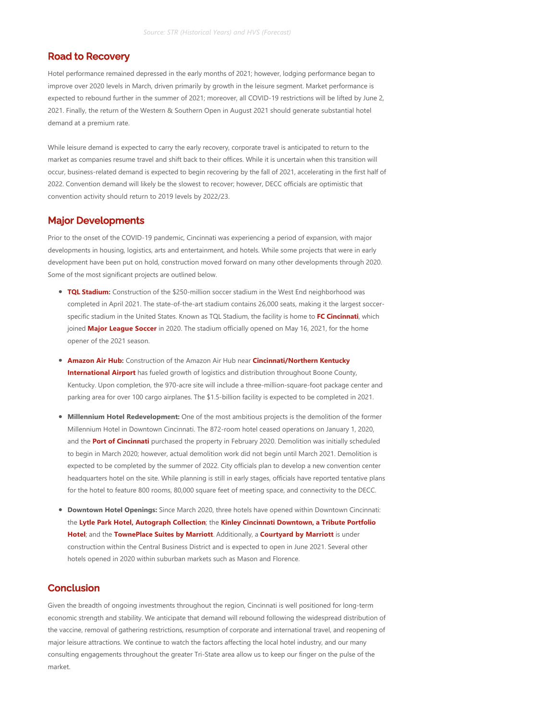## Road to Recovery

Hotel performance remained depressed in the early months of 2021; however, lodging performance began to improve over 2020 levels in March, driven primarily by growth in the leisure segment. Market performance is expected to rebound further in the summer of 2021; moreover, all COVID-19 restrictions will be lifted by June 2, 2021. Finally, the return of the Western & Southern Open in August 2021 should generate substantial hotel demand at a premium rate.

While leisure demand is expected to carry the early recovery, corporate travel is anticipated to return to the market as companies resume travel and shift back to their offices. While it is uncertain when this transition will occur, business‐related demand is expected to begin recovering by the fall of 2021, accelerating in the first half of 2022. Convention demand will likely be the slowest to recover; however, DECC officials are optimistic that convention activity should return to 2019 levels by 2022/23.

## Major Developments

Prior to the onset of the COVID‐19 pandemic, Cincinnati was experiencing a period of expansion, with major developments in housing, logistics, arts and entertainment, and hotels. While some projects that were in early development have been put on hold, construction moved forward on many other developments through 2020. Some of the most significant projects are outlined below.

- **TQL Stadium:** Construction of the \$250-million soccer stadium in the West End neighborhood was completed in April 2021. The state-of-the-art stadium contains 26,000 seats, making it the largest soccerspecific stadium in the United States. Known as TQL Stadium, the facility is home to **FC Cincinnati**, which joined **Major League Soccer** in 2020. The stadium officially opened on May 16, 2021, for the home opener of the 2021 season.
- **Amazon Air Hub:** Construction of the Amazon Air Hub near **Cincinnati/Northern Kentucky International Airport** has fueled growth of logistics and distribution throughout Boone County, Kentucky. Upon completion, the 970-acre site will include a three-million-square-foot package center and parking area for over 100 cargo airplanes. The \$1.5‐billion facility is expected to be completed in 2021.
- **Millennium Hotel Redevelopment:** One of the most ambitious projects is the demolition of the former Millennium Hotel in Downtown Cincinnati. The 872‐room hotel ceased operations on January 1, 2020, and the **Port of Cincinnati** purchased the property in February 2020. Demolition was initially scheduled to begin in March 2020; however, actual demolition work did not begin until March 2021. Demolition is expected to be completed by the summer of 2022. City officials plan to develop a new convention center headquarters hotel on the site. While planning is still in early stages, officials have reported tentative plans for the hotel to feature 800 rooms, 80,000 square feet of meeting space, and connectivity to the DECC.
- **Downtown Hotel Openings:** Since March 2020, three hotels have opened within Downtown Cincinnati: the **Lytle Park Hotel, Autograph Collection**; the **Kinley Cincinnati Downtown, a Tribute Portfolio Hotel**; and the **TownePlace Suites by Marriott**. Additionally, a **Courtyard by Marriott** is under construction within the Central Business District and is expected to open in June 2021. Several other hotels opened in 2020 within suburban markets such as Mason and Florence.

### Conclusion

Given the breadth of ongoing investments throughout the region, Cincinnati is well positioned for long-term economic strength and stability. We anticipate that demand will rebound following the widespread distribution of the vaccine, removal of gathering restrictions, resumption of corporate and international travel, and reopening of major leisure attractions. We continue to watch the factors affecting the local hotel industry, and our many consulting engagements throughout the greater Tri‐State area allow us to keep our finger on the pulse of the market.